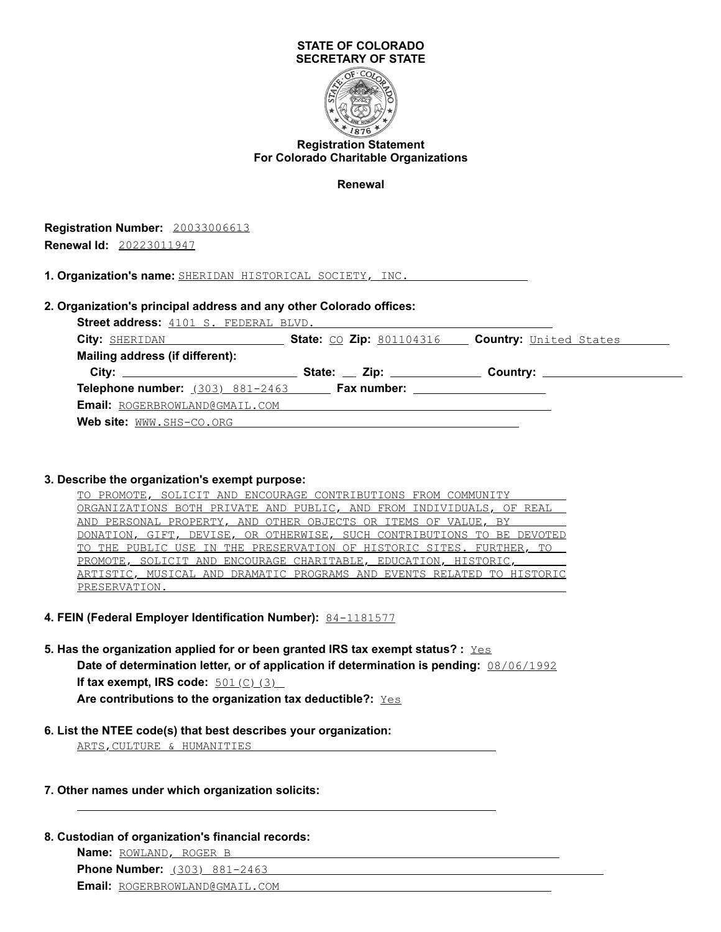

### **Registration Statement For Colorado Charitable Organizations**

**Renewal**

**Registration Number:** 20033006613 **Renewal Id:** 20223011947

**1. Organization's name:** SHERIDAN HISTORICAL SOCIETY, INC.

## **2. Organization's principal address and any other Colorado offices:**

**Street address:** 4101 S. FEDERAL BLVD. **City:** SHERIDAN **State:** CO **Zip:** 801104316 **Country:** United States **Mailing address (if different): City: State: Zip: Country: Telephone number:** (303) 881-2463 **Fax number: Email:** ROGERBROWLAND@GMAIL.COM **Web site:** WWW.SHS-CO.ORG

#### **3. Describe the organization's exempt purpose:**

| TO PROMOTE, SOLICIT AND ENCOURAGE CONTRIBUTIONS FROM COMMUNITY         |
|------------------------------------------------------------------------|
| ORGANIZATIONS BOTH PRIVATE AND PUBLIC, AND FROM INDIVIDUALS, OF REAL   |
| <u>AND PERSONAL PROPERTY, AND OTHER OBJECTS OR ITEMS OF VALUE, BY</u>  |
| DONATION, GIFT, DEVISE, OR OTHERWISE, SUCH CONTRIBUTIONS TO BE DEVOTED |
| TO THE PUBLIC USE IN THE PRESERVATION OF HISTORIC SITES. FURTHER, TO   |
| PROMOTE, SOLICIT AND ENCOURAGE CHARITABLE, EDUCATION, HISTORIC,        |
| ARTISTIC, MUSICAL AND DRAMATIC PROGRAMS AND EVENTS RELATED TO HISTORIC |
| PRESERVATION.                                                          |

#### **4. FEIN (Federal Employer Identification Number):** 84-1181577

**5. Has the organization applied for or been granted IRS tax exempt status? :** Yes

**Date of determination letter, or of application if determination is pending:** 08/06/1992 **If tax exempt, IRS code:**  $\frac{501(C)(3)}{2}$ Are contributions to the organization tax deductible?: Yes

#### **6. List the NTEE code(s) that best describes your organization:**

ARTS,CULTURE & HUMANITIES

#### **7. Other names under which organization solicits:**

**8. Custodian of organization's financial records:**

**Name:** ROWLAND, ROGER B

**Phone Number:** (303) 881-2463

**Email:** ROGERBROWLAND@GMAIL.COM